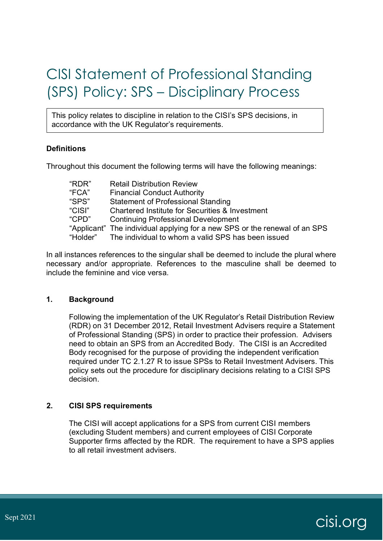# CISI Statement of Professional Standing (SPS) Policy: SPS – Disciplinary Process

This policy relates to discipline in relation to the CISI's SPS decisions, in accordance with the UK Regulator's requirements.

# **Definitions**

Throughout this document the following terms will have the following meanings:

| "RDR"  | <b>Retail Distribution Review</b>                                          |
|--------|----------------------------------------------------------------------------|
| "FCA"  | <b>Financial Conduct Authority</b>                                         |
| "SPS"  | <b>Statement of Professional Standing</b>                                  |
| "CISI" | <b>Chartered Institute for Securities &amp; Investment</b>                 |
| "CPD"  | <b>Continuing Professional Development</b>                                 |
|        | "Applicant" The individual applying for a new SPS or the renewal of an SPS |
|        | "Holder" The individual to whom a valid SPS has been issued                |
|        |                                                                            |

In all instances references to the singular shall be deemed to include the plural where necessary and/or appropriate. References to the masculine shall be deemed to include the feminine and vice versa.

### **1. Background**

Following the implementation of the UK Regulator's Retail Distribution Review (RDR) on 31 December 2012, Retail Investment Advisers require a Statement of Professional Standing (SPS) in order to practice their profession. Advisers need to obtain an SPS from an Accredited Body. The CISI is an Accredited Body recognised for the purpose of providing the independent verification required under TC 2.1.27 R to issue SPSs to Retail Investment Advisers. This policy sets out the procedure for disciplinary decisions relating to a CISI SPS decision.

### **2. CISI SPS requirements**

The CISI will accept applications for a SPS from current CISI members (excluding Student members) and current employees of CISI Corporate Supporter firms affected by the RDR. The requirement to have a SPS applies to all retail investment advisers.

# $S$ ept 2021 cisi.org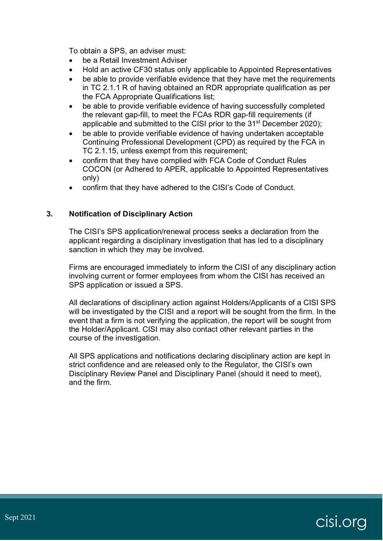To obtain a SPS, an adviser must:

- be a Retail Investment Adviser
- Hold an active CF30 status only applicable to Appointed Representatives
- be able to provide verifiable evidence that they have met the requirements in TC 2.1.1 R of having obtained an RDR appropriate qualification as per the FCA Appropriate Qualifications list;
- be able to provide verifiable evidence of having successfully completed the relevant gap-fill, to meet the FCAs RDR gap-fill requirements (if applicable and submitted to the CISI prior to the 31<sup>st</sup> December 2020);
- be able to provide verifiable evidence of having undertaken acceptable Continuing Professional Development (CPD) as required by the FCA in TC 2.1.15, unless exempt from this requirement;
- confirm that they have complied with FCA Code of Conduct Rules COCON (or Adhered to APER, applicable to Appointed Representatives only)
- confirm that they have adhered to the CISI's Code of Conduct.

# **3. Notification of Disciplinary Action**

The CISI's SPS application/renewal process seeks a declaration from the applicant regarding a disciplinary investigation that has led to a disciplinary sanction in which they may be involved.

Firms are encouraged immediately to inform the CISI of any disciplinary action involving current or former employees from whom the CISI has received an SPS application or issued a SPS.

All declarations of disciplinary action against Holders/Applicants of a CISI SPS will be investigated by the CISI and a report will be sought from the firm. In the event that a firm is not verifying the application, the report will be sought from the Holder/Applicant. CISI may also contact other relevant parties in the course of the investigation.

All SPS applications and notifications declaring disciplinary action are kept in strict confidence and are released only to the Regulator, the CISI's own Disciplinary Review Panel and Disciplinary Panel (should it need to meet), and the firm.

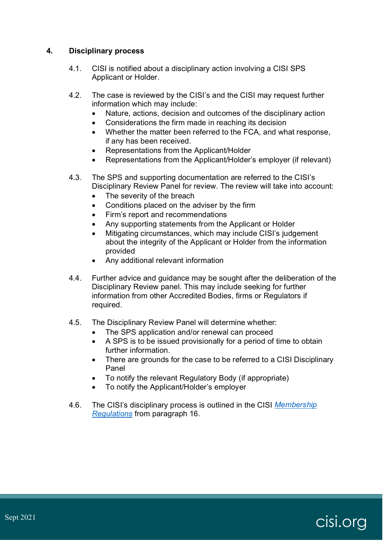### **4. Disciplinary process**

- 4.1. CISI is notified about a disciplinary action involving a CISI SPS Applicant or Holder.
- 4.2. The case is reviewed by the CISI's and the CISI may request further information which may include:
	- Nature, actions, decision and outcomes of the disciplinary action
	- Considerations the firm made in reaching its decision
	- Whether the matter been referred to the FCA, and what response, if any has been received.
	- Representations from the Applicant/Holder
	- Representations from the Applicant/Holder's employer (if relevant)
- 4.3. The SPS and supporting documentation are referred to the CISI's Disciplinary Review Panel for review. The review will take into account:
	- The severity of the breach
	- Conditions placed on the adviser by the firm
	- Firm's report and recommendations
	- Any supporting statements from the Applicant or Holder
	- Mitigating circumstances, which may include CISI's judgement about the integrity of the Applicant or Holder from the information provided
	- Any additional relevant information
- 4.4. Further advice and guidance may be sought after the deliberation of the Disciplinary Review panel. This may include seeking for further information from other Accredited Bodies, firms or Regulators if required.
- 4.5. The Disciplinary Review Panel will determine whether:
	- The SPS application and/or renewal can proceed
	- A SPS is to be issued provisionally for a period of time to obtain further information.
	- There are grounds for the case to be referred to a CISI Disciplinary Panel
	- To notify the relevant Regulatory Body (if appropriate)
	- To notify the Applicant/Holder's employer
- 4.6. The CISI's disciplinary process is outlined in the CISI *[Membership](https://www.cisi.org/cisiweb2/docs/default-source/cisi-website/membership/membership-regulations.pdf?sfvrsn=f4a65102_38)  [Regulations](https://www.cisi.org/cisiweb2/docs/default-source/cisi-website/membership/membership-regulations.pdf?sfvrsn=f4a65102_38)* from paragraph 16.

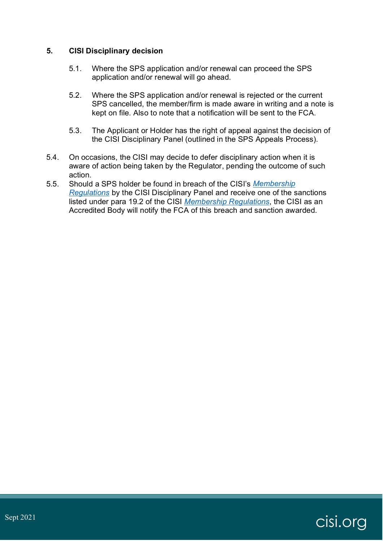### **5. CISI Disciplinary decision**

- 5.1. Where the SPS application and/or renewal can proceed the SPS application and/or renewal will go ahead.
- 5.2. Where the SPS application and/or renewal is rejected or the current SPS cancelled, the member/firm is made aware in writing and a note is kept on file. Also to note that a notification will be sent to the FCA.
- 5.3. The Applicant or Holder has the right of appeal against the decision of the CISI Disciplinary Panel (outlined in the SPS Appeals Process).
- 5.4. On occasions, the CISI may decide to defer disciplinary action when it is aware of action being taken by the Regulator, pending the outcome of such action.
- 5.5. Should a SPS holder be found in breach of the CISI's *[Membership](https://www.cisi.org/cisiweb2/docs/default-source/cisi-website/membership/membership-regulations.pdf?sfvrsn=f4a65102_38)  [Regulations](https://www.cisi.org/cisiweb2/docs/default-source/cisi-website/membership/membership-regulations.pdf?sfvrsn=f4a65102_38)* by the CISI Disciplinary Panel and receive one of the sanctions listed under para 19.2 of the CISI *[Membership Regulations](https://www.cisi.org/cisiweb2/docs/default-source/cisi-website/membership/membership-regulations.pdf?sfvrsn=f4a65102_38)*, the CISI as an Accredited Body will notify the FCA of this breach and sanction awarded.

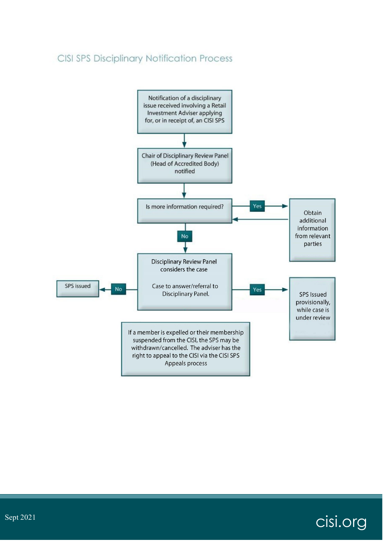# CISI SPS Disciplinary Notification Process



cisi.org